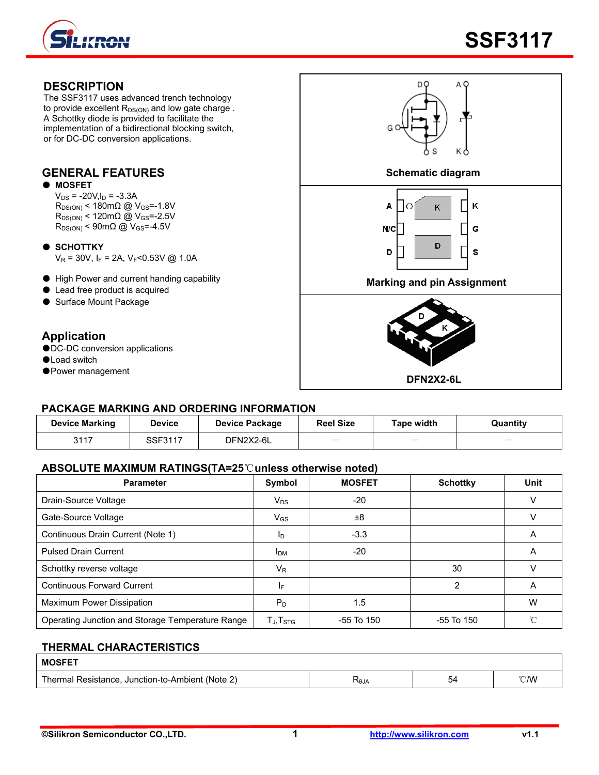

#### **DESCRIPTION**  DO The SSF3117 uses advanced trench technology to provide excellent  $R_{DS(ON)}$  and low gate charge. A Schottky diode is provided to facilitate the implementation of a bidirectional blocking switch, G or for DC-DC conversion applications. **GENERAL FEATURES Schematic diagram**  ● **MOSFET**  $V_{DS}$  = -20V,  $I_D$  = -3.3A  $R_{DS(ON)}$  < 180m $\Omega$  @ V<sub>GS</sub>=-1.8V Κ Α  $\circ$ K  $R_{DS(ON)}$  < 120m $\Omega$  @ V<sub>GS</sub>=-2.5V  $R_{DS(ON)}$  < 90m $\Omega$  @ V<sub>GS</sub>=-4.5V G N/C ● **SCHOTTKY** D D S  $V_R = 30V$ , I<sub>F</sub> = 2A, V<sub>F</sub><0.53V @ 1.0A ● High Power and current handing capability **Marking and pin Assignment** ● Lead free product is acquired ● Surface Mount Package **Application**  ●DC-DC conversion applications ●Load switch ●Power management **DFN2X2-6L**

### **PACKAGE MARKING AND ORDERING INFORMATION**

| <b>Device Marking</b> | <b>Device</b> | <b>Device Package</b> | <b>Reel Size</b>         | Tape width               | Quantity |
|-----------------------|---------------|-----------------------|--------------------------|--------------------------|----------|
| 3117                  | SSF3117       | DFN2X2-6L             | $\overline{\phantom{a}}$ | $\overline{\phantom{a}}$ | _        |

### **ABSOLUTE MAXIMUM RATINGS(TA=25**℃**unless otherwise noted)**

| <b>Parameter</b>                                 | Symbol                                               | <b>MOSFET</b>  | <b>Schottky</b> | Unit |
|--------------------------------------------------|------------------------------------------------------|----------------|-----------------|------|
| Drain-Source Voltage                             | $V_{DS}$                                             | $-20$          |                 |      |
| Gate-Source Voltage                              | $V_{GS}$                                             | ±8             |                 |      |
| Continuous Drain Current (Note 1)                | ID                                                   | $-3.3$         |                 | A    |
| <b>Pulsed Drain Current</b>                      | <b>I</b> <sub>DM</sub>                               | $-20$          |                 | A    |
| Schottky reverse voltage                         | $V_{R}$                                              |                | 30              |      |
| <b>Continuous Forward Current</b>                | IF.                                                  |                | $\overline{2}$  | A    |
| Maximum Power Dissipation                        | P <sub>D</sub>                                       | 1.5            |                 | w    |
| Operating Junction and Storage Temperature Range | $\mathsf{T}_{\mathsf{J}}, \mathsf{T}_{\mathsf{STG}}$ | $-55$ To $150$ | -55 To 150      | °C   |

### **THERMAL CHARACTERISTICS**

| <b>MOSFET</b>                                    |             |    |      |
|--------------------------------------------------|-------------|----|------|
| Thermal Resistance, Junction-to-Ambient (Note 2) | <b>ALOZ</b> | 54 | °C/W |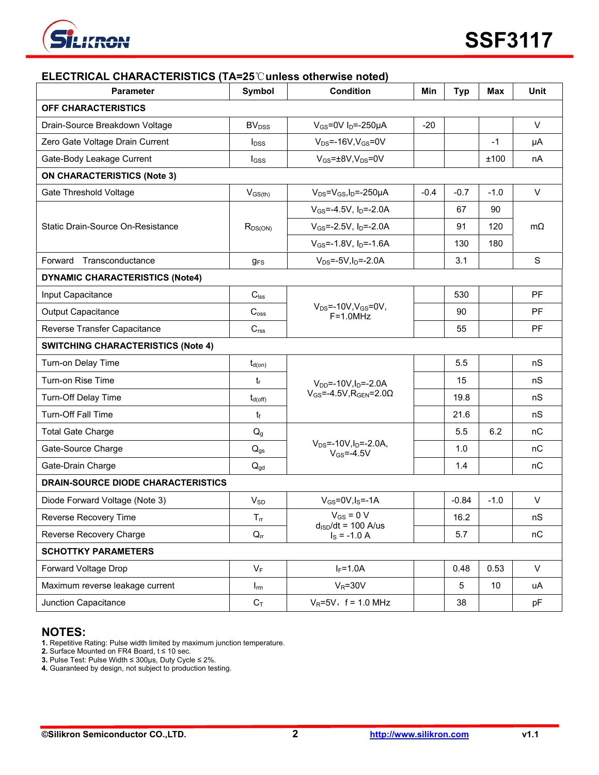

| ELECTRICAL CHARACTERISTICS (TA=25℃ unless otherwise noted) |                          |                                                           |        |            |            |             |  |
|------------------------------------------------------------|--------------------------|-----------------------------------------------------------|--------|------------|------------|-------------|--|
| <b>Parameter</b>                                           | Symbol                   | <b>Condition</b>                                          | Min    | <b>Typ</b> | <b>Max</b> | <b>Unit</b> |  |
| <b>OFF CHARACTERISTICS</b>                                 |                          |                                                           |        |            |            |             |  |
| Drain-Source Breakdown Voltage                             | <b>BV<sub>DSS</sub></b>  | $V_{GS}$ =0V I <sub>D</sub> =-250µA                       | $-20$  |            |            | $\vee$      |  |
| Zero Gate Voltage Drain Current                            | <b>l</b> <sub>pss</sub>  | $V_{DS}$ =-16V, $V_{GS}$ =0V                              |        |            | $-1$       | μA          |  |
| Gate-Body Leakage Current                                  | I <sub>GSS</sub>         | $V_{GS} = \pm 8V$ , $V_{DS} = 0V$                         |        |            | ±100       | nA          |  |
| <b>ON CHARACTERISTICS (Note 3)</b>                         |                          |                                                           |        |            |            |             |  |
| Gate Threshold Voltage                                     | $V_{GS(th)}$             | $V_{DS} = V_{GS}I_D = -250\mu A$                          | $-0.4$ | $-0.7$     | $-1.0$     | $\vee$      |  |
|                                                            |                          | $V_{GS} = -4.5V$ , $I_D = -2.0A$                          |        | 67         | 90         |             |  |
| Static Drain-Source On-Resistance                          | $R_{DS(ON)}$             | $V_{GS} = -2.5V$ , $I_D = -2.0A$                          |        | 91         | 120        | $m\Omega$   |  |
|                                                            |                          | $V_{GS}$ =-1.8V, $I_{D}$ =-1.6A                           |        | 130        | 180        |             |  |
| Forward<br>Transconductance                                | <b>g</b> <sub>FS</sub>   | $V_{DS} = -5V, I_D = -2.0A$                               |        | 3.1        |            | $\mathbf S$ |  |
| <b>DYNAMIC CHARACTERISTICS (Note4)</b>                     |                          |                                                           |        |            |            |             |  |
| Input Capacitance                                          | $C_{\text{lss}}$         |                                                           |        | 530        |            | <b>PF</b>   |  |
| <b>Output Capacitance</b>                                  | $C_{\text{oss}}$         | $V_{DS}$ =-10V, $V_{GS}$ =0V,<br>$F=1.0MHz$               |        | 90         |            | PF          |  |
| Reverse Transfer Capacitance                               | C <sub>rss</sub>         |                                                           |        | 55         |            | PF          |  |
| <b>SWITCHING CHARACTERISTICS (Note 4)</b>                  |                          |                                                           |        |            |            |             |  |
| Turn-on Delay Time                                         | $t_{d(on)}$              |                                                           |        | 5.5        |            | nS          |  |
| Turn-on Rise Time                                          | $t_{r}$                  | $V_{DD}$ =-10V, $I_D$ =-2.0A                              |        | 15         |            | nS          |  |
| Turn-Off Delay Time                                        | $t_{d(off)}$             | $V_{GS}$ =-4.5V, R <sub>GEN</sub> =2.0 $\Omega$           |        | 19.8       |            | nS          |  |
| <b>Turn-Off Fall Time</b>                                  | $t_{\rm f}$              |                                                           |        | 21.6       |            | nS          |  |
| <b>Total Gate Charge</b>                                   | Q <sub>g</sub>           |                                                           |        | 5.5        | 6.2        | nC          |  |
| Gate-Source Charge                                         | $\mathsf{Q}_{\text{gs}}$ | $V_{DS}$ =-10V, $I_D$ =-2.0A,<br>$V$ <sub>GS</sub> =-4.5V |        | 1.0        | nC         |             |  |
| Gate-Drain Charge                                          | $Q_{\text{gd}}$          |                                                           |        | 1.4        |            | nC          |  |
| DRAIN-SOURCE DIODE CHARACTERISTICS                         |                          |                                                           |        |            |            |             |  |
| Diode Forward Voltage (Note 3)                             | <b>V<sub>SD</sub></b>    | $V_{GS} = 0V$ , $I_S = -1A$                               |        | $-0.84$    | $-1.0$     | V           |  |
| Reverse Recovery Time                                      | $\mathsf{T}_{\text{fr}}$ | $V_{GS} = 0 V$                                            |        | 16.2       |            | nS          |  |
| Reverse Recovery Charge                                    | $Q_{rr}$                 | $d_{\text{ISD}}/dt = 100$ A/us<br>$I_S = -1.0 A$          |        | 5.7        |            | nC          |  |
| <b>SCHOTTKY PARAMETERS</b>                                 |                          |                                                           |        |            |            |             |  |
| Forward Voltage Drop                                       | $V_F$                    | $I_F = 1.0A$                                              |        | 0.48       | 0.53       | $\vee$      |  |
| Maximum reverse leakage current                            | $I_{rm}$                 | $V_R = 30V$                                               |        | 5          | 10         | uA          |  |
| Junction Capacitance                                       | $C_T$                    | $V_R = 5V$ , f = 1.0 MHz                                  |        | 38         |            | pF          |  |

### **NOTES:**

**1.** Repetitive Rating: Pulse width limited by maximum junction temperature.

**2.** Surface Mounted on FR4 Board, t ≤ 10 sec.

**3.** Pulse Test: Pulse Width ≤ 300μs, Duty Cycle ≤ 2%.

**4.** Guaranteed by design, not subject to production testing.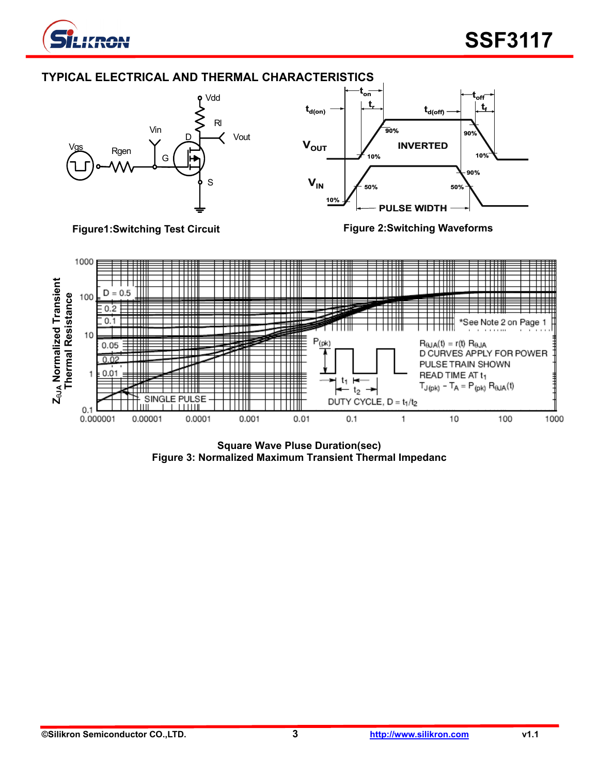





**Square Wave Pluse Duration(sec) Figure 3: Normalized Maximum Transient Thermal Impedanc**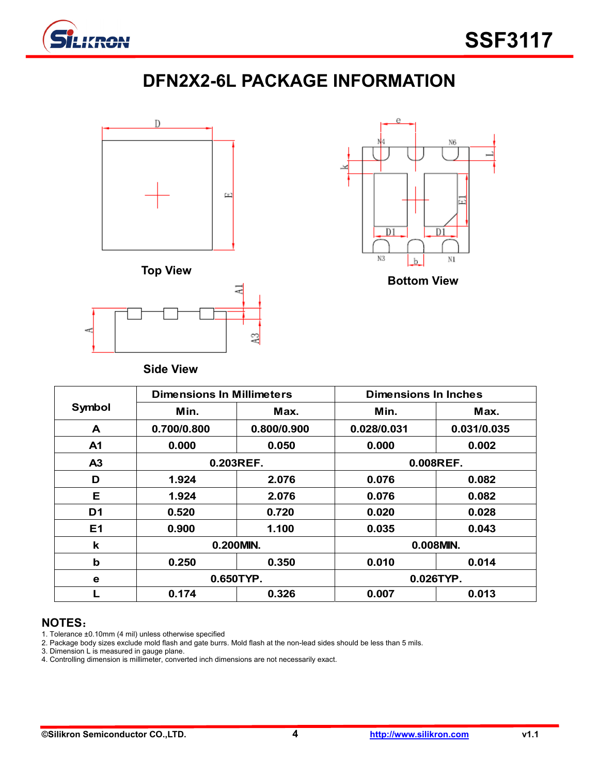

# **DFN2X2-6L PACKAGE INFORMATION**







**Side View** 

|                | <b>Dimensions In Millimeters</b> |             | Dimensions In Inches |             |  |
|----------------|----------------------------------|-------------|----------------------|-------------|--|
| Symbol         | Min.                             | Max.        | Min.                 | Max.        |  |
| A              | 0.700/0.800                      | 0.800/0.900 | 0.028/0.031          | 0.031/0.035 |  |
| A <sub>1</sub> | 0.000                            | 0.050       | 0.000                | 0.002       |  |
| A <sub>3</sub> |                                  | 0.203REF.   |                      | 0.008REF.   |  |
| D              | 1.924                            | 2.076       | 0.076                | 0.082       |  |
| Е              | 1.924                            | 2.076       | 0.076                | 0.082       |  |
| D <sub>1</sub> | 0.520                            | 0.720       | 0.020                | 0.028       |  |
| E1             | 0.900                            | 1.100       | 0.035                | 0.043       |  |
| k              |                                  | 0.200MIN.   |                      | 0.008MIN.   |  |
| $\mathbf b$    | 0.250                            | 0.350       | 0.010                | 0.014       |  |
| e              | 0.650TYP.                        |             | 0.026TYP.            |             |  |
|                | 0.174                            | 0.326       | 0.007                | 0.013       |  |

## **NOTES**:

- 1. Tolerance ±0.10mm (4 mil) unless otherwise specified
- 2. Package body sizes exclude mold flash and gate burrs. Mold flash at the non-lead sides should be less than 5 mils.
- 3. Dimension L is measured in gauge plane.
- 4. Controlling dimension is millimeter, converted inch dimensions are not necessarily exact.